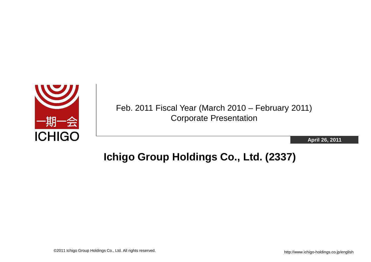

Feb. 2011 Fiscal Year (March 2010 – February 2011) Corporate Presentation

**April 26, 2011**

## **Ichigo Group Holdings Co., Ltd. (2337)**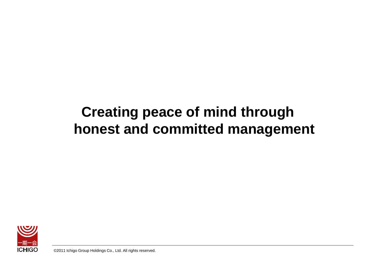# **Creating peace of mind through honest and committed management**



©2011 Ichigo Group Holdings Co., Ltd. All rights reserved.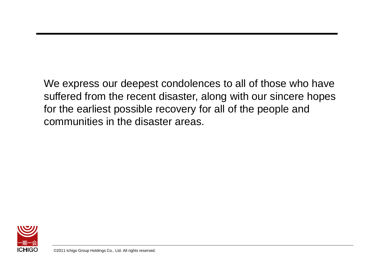We express our deepest condolences to all of those who have suffered from the recent disaster, along with our sincere hopes for the earliest possible recovery for all of the people and communities in the disaster areas.

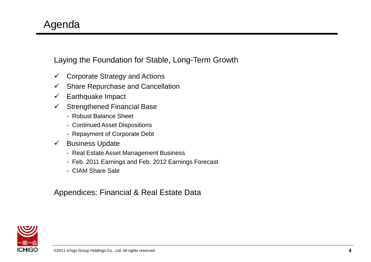Laying the Foundation for Stable, Long-Term Growth

- $\checkmark$  Corporate Strategy and Actions
- $\checkmark$  Share Repurchase and Cancellation
- $\checkmark$  Earthquake Impact
- $\checkmark$  Strengthened Financial Base
	- Robust Balance Sheet
	- Continued Asset Dispositions
	- Repayment of Corporate Debt
- $\checkmark$  Business Update
	- Real Estate Asset Management Business
	- Feb. 2011 Earnings and Feb. 2012 Earnings Forecast
	- CIAM Share Sale

Appendices: Financial & Real Estate Data

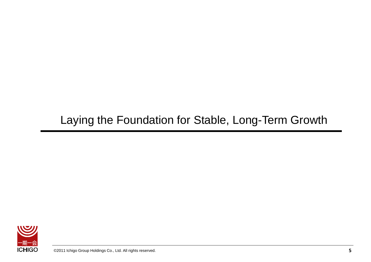## Laying the Foundation for Stable, Long-Term Growth

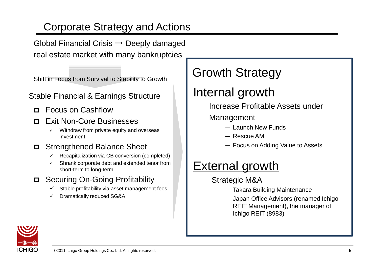## Corporate Strategy and Actions

Global Financial Crisis  $\rightarrow$  Deeply damaged real estate market with many bankruptcies

Shift in Focus from Survival to Stability to Growth

#### Stable Financial & Earnings Structure

- Focus on Cashflow
- **Exit Non-Core Businesses** 
	- Withdraw from private equity and overseas investment

### Strengthened Balance Sheet

- Recapitalization via CB conversion (completed)
- Shrank corporate debt and extended tenor from short-term to long-term
- Securing On-Going Profitability
	- $\checkmark$  Stable profitability via asset management fees
	- Dramatically reduced SG&A

# Growth Strategy

# Internal growth

Increase Profitable Assets under

- Management
	- Launch New Funds
	- Rescue AM
	- Focus on Adding Value to Assets

# **External growth**

- Strategic M&A
	- Takara Building Maintenance
	- Japan Office Advisors (renamed Ichigo REIT Management), the manager of Ichigo REIT (8983)

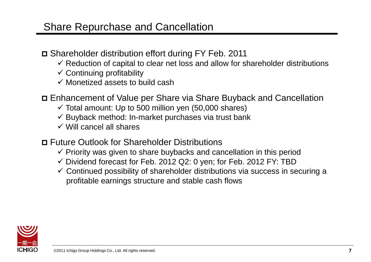### Share Repurchase and Cancellation

- Shareholder distribution effort during FY Feb. 2011
	- $\checkmark$  Reduction of capital to clear net loss and allow for shareholder distributions
	- $\checkmark$  Continuing profitability
	- $\checkmark$  Monetized assets to build cash
- Enhancement of Value per Share via Share Buyback and Cancellation
	- $\checkmark$  Total amount: Up to 500 million yen (50,000 shares)
	- $\checkmark$  Buyback method: In-market purchases via trust bank
	- $\checkmark$  Will cancel all shares
- Future Outlook for Shareholder Distributions
	- $\checkmark$  Priority was given to share buybacks and cancellation in this period
	- $\checkmark$  Dividend forecast for Feb. 2012 Q2: 0 yen; for Feb. 2012 FY: TBD
	- $\checkmark$  Continued possibility of shareholder distributions via success in securing a profitable earnings structure and stable cash flows

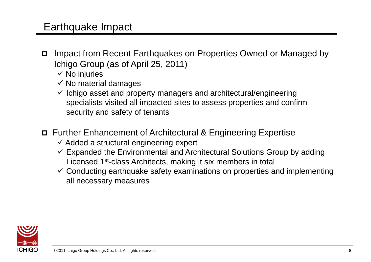### Earthquake Impact

- Impact from Recent Earthquakes on Properties Owned or Managed by Ichigo Group (as of April 25, 2011)
	- $\checkmark$  No injuries
	- $\checkmark$  No material damages
	- $\checkmark$  Ichigo asset and property managers and architectural/engineering specialists visited all impacted sites to assess properties and confirm security and safety of tenants
- Further Enhancement of Architectural & Engineering Expertise
	- $\checkmark$  Added a structural engineering expert
	- $\checkmark$  Expanded the Environmental and Architectural Solutions Group by adding Licensed 1st-class Architects, making it six members in total
	- $\checkmark$  Conducting earthquake safety examinations on properties and implementing all necessary measures

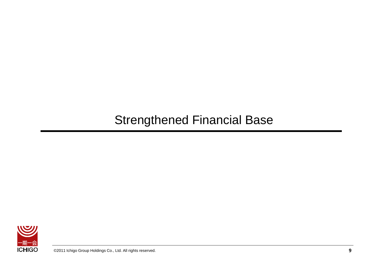## Strengthened Financial Base

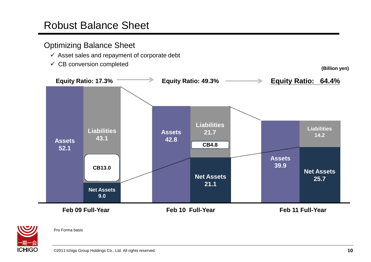### Robust Balance Sheet

#### Optimizing Balance Sheet

- $\checkmark$  Asset sales and repayment of corporate debt
- $\checkmark$  CB conversion completed

**(Billion yen)**





Pro Forma basis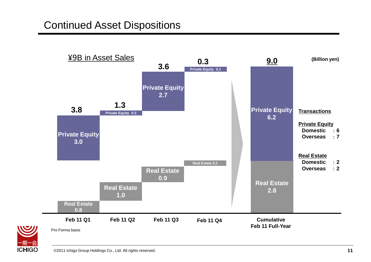## Continued Asset Dispositions



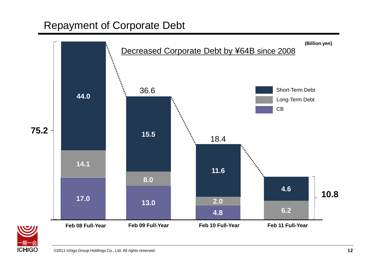### Repayment of Corporate Debt



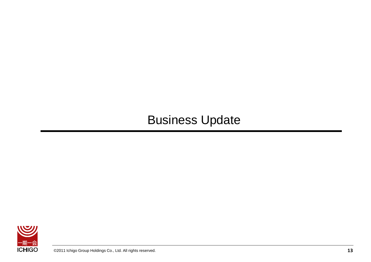## Business Update

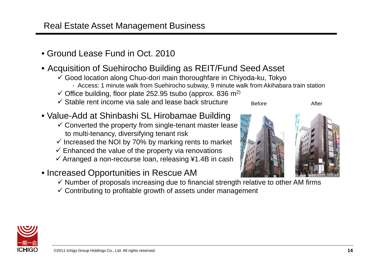### Real Estate Asset Management Business

• Ground Lease Fund in Oct. 2010

### • Acquisition of Suehirocho Building as REIT/Fund Seed Asset

- Good location along Chuo-dori main thoroughfare in Chiyoda-ku, Tokyo
	- Access: 1 minute walk from Suehirocho subway, 9 minute walk from Akihabara train station
- $\checkmark$  Office building, floor plate 252.95 tsubo (approx. 836 m<sup>2)</sup>
- $\checkmark$  Stable rent income via sale and lease back structure

### • Value-Add at Shinbashi SL Hirobamae Building

- $\checkmark$  Converted the property from single-tenant master lease to multi-tenancy, diversifying tenant risk
- $\checkmark$  Increased the NOI by 70% by marking rents to market
- $\checkmark$  Enhanced the value of the property via renovations
- $\checkmark$  Arranged a non-recourse loan, releasing ¥1.4B in cash
- Increased Opportunities in Rescue AM
	- $\checkmark$  Number of proposals increasing due to financial strength relative to other AM firms
	- $\checkmark$  Contributing to profitable growth of assets under management





Before **After**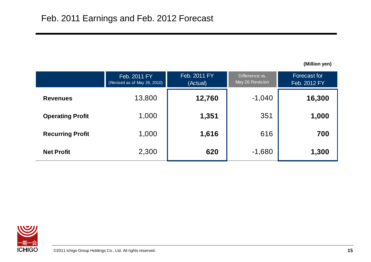**(Million yen)**

|                         | Feb. 2011 FY<br>(Revised as of May 26, 2010) | Feb. 2011 FY<br>(Actual) | Difference vs.<br>May 26 Revision | <b>Forecast for</b><br>Feb. 2012 FY |
|-------------------------|----------------------------------------------|--------------------------|-----------------------------------|-------------------------------------|
| <b>Revenues</b>         | 13,800                                       | 12,760                   | $-1,040$                          | 16,300                              |
| <b>Operating Profit</b> | 1,000                                        | 1,351                    | 351                               | 1,000                               |
| <b>Recurring Profit</b> | 1,000                                        | 1,616                    | 616                               | 700                                 |
| <b>Net Profit</b>       | 2,300                                        | 620                      | $-1,680$                          | 1,300                               |

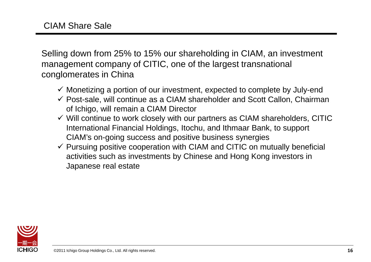Selling down from 25% to 15% our shareholding in CIAM, an investment management company of CITIC, one of the largest transnational conglomerates in China

- $\checkmark$  Monetizing a portion of our investment, expected to complete by July-end
- $\checkmark$  Post-sale, will continue as a CIAM shareholder and Scott Callon, Chairman of Ichigo, will remain a CIAM Director
- $\checkmark$  Will continue to work closely with our partners as CIAM shareholders, CITIC International Financial Holdings, Itochu, and Ithmaar Bank, to support CIAM's on-going success and positive business synergies
- $\checkmark$  Pursuing positive cooperation with CIAM and CITIC on mutually beneficial activities such as investments by Chinese and Hong Kong investors in Japanese real estate

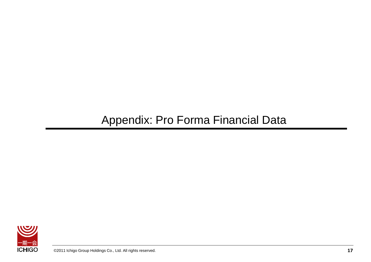## Appendix: Pro Forma Financial Data

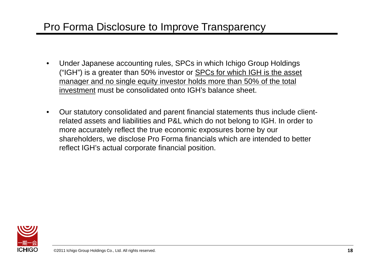## Pro Forma Disclosure to Improve Transparency

- Under Japanese accounting rules, SPCs in which Ichigo Group Holdings ("IGH") is a greater than 50% investor or **SPCs for which IGH** is the asset manager and no single equity investor holds more than 50% of the total investment must be consolidated onto IGH's balance sheet.
- Our statutory consolidated and parent financial statements thus include clientrelated assets and liabilities and P&L which do not belong to IGH. In order to more accurately reflect the true economic exposures borne by our shareholders, we disclose Pro Forma financials which are intended to better reflect IGH's actual corporate financial position.

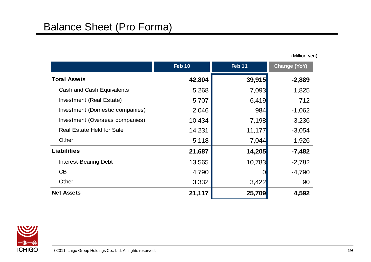**Feb 10 Feb 11 Change (YoY) Total Assets 42,804 39,915 -2,889** Cash and Cash Equivalents **5,268** 7,093 1,825 Investment (Real Estate) 6,707 6,419 6,419 Investment (Domestic companies)  $2,046$  | 984 -1,062 Investment (Overseas companies)  $10,434$   $7,198$   $-3,236$ Real Estate Held for Sale 14,231 11,177 -3,054 Other **5,118** 1,926 **Liabilities 21,687 14,205 -7,482** Interest-Bearing Debt 13,565 10,783 -2,782  $\begin{array}{ccccccc}\n\text{CB} & & & & 4,790 \\
\text{C} & & & & 0\n\end{array}$   $\begin{array}{ccccccc}\n-4,790 & & & & \n\end{array}$ Other  $3,332$   $3,422$   $90$ **Net Assets 21,117 25,709 4,592**



(Million yen)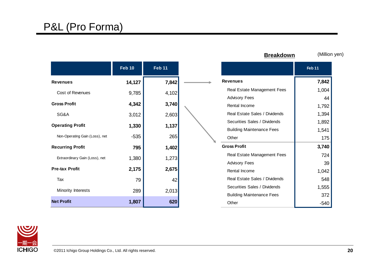### P&L (Pro Forma)

|                                | <b>Feb 10</b> | <b>Feb 11</b> |  |
|--------------------------------|---------------|---------------|--|
| <b>Revenues</b>                | 14,127        | 7,842         |  |
| Cost of Revenues               | 9,785         | 4,102         |  |
| <b>Gross Profit</b>            | 4,342         | 3,740         |  |
| SG&A                           | 3,012         | 2,603         |  |
| <b>Operating Profit</b>        | 1,330         | 1,137         |  |
| Non-Operating Gain (Loss), net | $-535$        | 265           |  |
| <b>Recurring Profit</b>        | 795           | 1,402         |  |
| Extraordinary Gain (Loss), net | 1,380         | 1,273         |  |
| <b>Pre-tax Profit</b>          | 2,175         | 2,675         |  |
| Tax                            | 79            | 42            |  |
| Minority Interests             | 289           | 2,013         |  |
| <b>Net Profit</b>              | 1,807         | 620           |  |

÷.

| <b>Breakdown</b>                 | (Million yen)     |  |  |
|----------------------------------|-------------------|--|--|
|                                  | Feb <sub>11</sub> |  |  |
| <b>Revenues</b>                  | 7,842             |  |  |
| Real Estate Management Fees      | 1,004             |  |  |
| <b>Advisory Fees</b>             | 44                |  |  |
| Rental Income                    | 1,792             |  |  |
| Real Estate Sales / Dividends    | 1,394             |  |  |
| Securities Sales / Dividends     | 1,892             |  |  |
| <b>Building Maintenance Fees</b> | 1,541             |  |  |
| Other                            | 175               |  |  |
| <b>Gross Profit</b>              | 3,740             |  |  |
| Real Estate Management Fees      | 724               |  |  |
| <b>Advisory Fees</b>             | 39                |  |  |
| Rental Income                    | 1,042             |  |  |
| Real Estate Sales / Dividends    | 548               |  |  |
| Securities Sales / Dividends     | 1,555             |  |  |
| <b>Building Maintenance Fees</b> | 372               |  |  |
| Other                            | -540              |  |  |

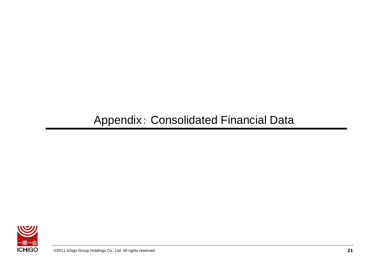## Appendix: Consolidated Financial Data

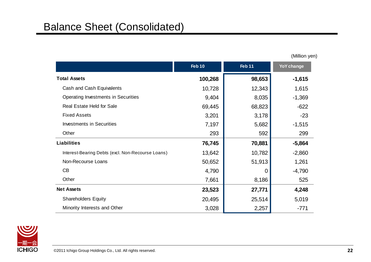|                                                   | <b>Feb 10</b> | Feb 11 | <b>YoY change</b> |
|---------------------------------------------------|---------------|--------|-------------------|
| <b>Total Assets</b>                               | 100,268       | 98,653 | $-1,615$          |
| Cash and Cash Equivalents                         | 10,728        | 12,343 | 1,615             |
| Operating Investments in Securities               | 9,404         | 8,035  | $-1,369$          |
| <b>Real Estate Held for Sale</b>                  | 69,445        | 68,823 | $-622$            |
| <b>Fixed Assets</b>                               | 3,201         | 3,178  | $-23$             |
| <b>Investments in Securities</b>                  | 7,197         | 5,682  | $-1,515$          |
| Other                                             | 293           | 592    | 299               |
| <b>Liabilities</b>                                | 76,745        | 70,881 | $-5,864$          |
| Interest-Bearing Debts (excl. Non-Recourse Loans) | 13,642        | 10,782 | $-2,860$          |
| Non-Recourse Loans                                | 50,652        | 51,913 | 1,261             |
| CB                                                | 4,790         | 0      | $-4,790$          |
| Other                                             | 7,661         | 8,186  | 525               |
| <b>Net Assets</b>                                 | 23,523        | 27,771 | 4,248             |
| <b>Shareholders Equity</b>                        | 20,495        | 25,514 | 5,019             |
| Minority Interests and Other                      | 3,028         | 2,257  | $-771$            |

(Million yen)

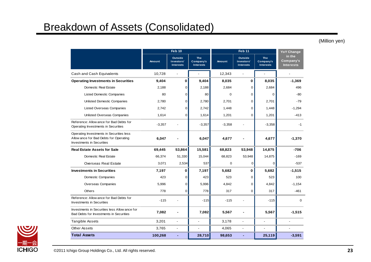### Breakdown of Assets (Consolidated)

(Million yen)

|                                                                                                                        | Feb 10        |                                           |                                             | <b>Feb 11</b> |                                           |                                             | <b>YoY Change</b>                       |
|------------------------------------------------------------------------------------------------------------------------|---------------|-------------------------------------------|---------------------------------------------|---------------|-------------------------------------------|---------------------------------------------|-----------------------------------------|
|                                                                                                                        | <b>Amount</b> | Outside<br>Investors'<br><b>Interests</b> | <b>The</b><br>Company's<br><b>Interests</b> | <b>Amount</b> | Outside<br>Investors'<br><b>Interests</b> | <b>The</b><br>Company's<br><b>Interests</b> | in the<br>Company's<br><b>Interests</b> |
| Cash and Cash Equivalents                                                                                              | 10,728        | $\blacksquare$                            | $\blacksquare$                              | 12,343        | $\blacksquare$                            | ÷.                                          |                                         |
| <b>Operating Investments in Securities</b>                                                                             | 9,404         | 0                                         | 9.404                                       | 8,035         | 0                                         | 8,035                                       | $-1,369$                                |
| Domestic Real Estate                                                                                                   | 2,188         | 0                                         | 2,188                                       | 2,684         | 0                                         | 2,684                                       | 496                                     |
| <b>Listed Domestic Companies</b>                                                                                       | 80            | $\mathbf 0$                               | 80                                          | $\Omega$      | 0                                         | $\Omega$                                    | $-80$                                   |
| <b>Unlisted Domestic Companies</b>                                                                                     | 2,780         | $\mathbf 0$                               | 2,780                                       | 2,701         | 0                                         | 2,701                                       | $-79$                                   |
| <b>Listed Overseas Companies</b>                                                                                       | 2.742         | $\Omega$                                  | 2.742                                       | 1,448         | $\Omega$                                  | 1,448                                       | $-1,294$                                |
| Unlisted Overseas Companies                                                                                            | 1,614         | 0                                         | 1,614                                       | 1,201         | 0                                         | 1,201                                       | $-413$                                  |
| Reference: Allow ance for Bad Debts for<br>Operating Investments in Securities                                         | $-3,357$      |                                           | $-3,357$                                    | $-3,358$      |                                           | $-3,358$                                    | $-1$                                    |
| Operating Investments in Securities less<br>Allow ance for Bad Debts for Operating<br><b>Investments in Securities</b> | 6,047         |                                           | 6,047                                       | 4,677         |                                           | 4,677                                       | $-1,370$                                |
| <b>Real Estate Assets for Sale</b>                                                                                     | 69,445        | 53,864                                    | 15,581                                      | 68,823        | 53,948                                    | 14,875                                      | $-706$                                  |
| Domestic Real Estate                                                                                                   | 66,374        | 51,330                                    | 15,044                                      | 68,823        | 53,948                                    | 14,875                                      | $-169$                                  |
| Overseas Real Estate                                                                                                   | 3,071         | 2,534                                     | 537                                         | $\mathbf 0$   | 0                                         | $\mathbf 0$                                 | $-537$                                  |
| <b>Investments in Securities</b>                                                                                       | 7,197         | 0                                         | 7,197                                       | 5,682         | 0                                         | 5,682                                       | $-1,515$                                |
| Domestic Companies                                                                                                     | 423           | 0                                         | 423                                         | 523           | 0                                         | 523                                         | 100                                     |
| Overseas Companies                                                                                                     | 5,996         | $\mathbf 0$                               | 5,996                                       | 4,842         | 0                                         | 4,842                                       | $-1,154$                                |
| Others                                                                                                                 | 778           | 0                                         | 778                                         | 317           | $\mathbf 0$                               | 317                                         | $-461$                                  |
| Reference: Allow ance for Bad Debts for<br><b>Investments in Securities</b>                                            | $-115$        |                                           | $-115$                                      | $-115$        | $\overline{a}$                            | $-115$                                      | $\mathbf 0$                             |
| Investments in Securities less Allow ance for<br>Bad Debts for Investments in Securities                               | 7,082         |                                           | 7,082                                       | 5,567         |                                           | 5,567                                       | $-1,515$                                |
| <b>Tangible Assets</b>                                                                                                 | 3,201         | $\blacksquare$                            | $\blacksquare$                              | 3,178         | $\blacksquare$                            |                                             |                                         |
| Other Assets                                                                                                           | 3,765         | $\blacksquare$                            | $\blacksquare$                              | 4,065         | $\overline{\phantom{a}}$                  | $\overline{a}$                              |                                         |
| <b>Total Assets</b>                                                                                                    | 100,268       |                                           | 28,710                                      | 98,653        |                                           | 25,119                                      | $-3,591$                                |

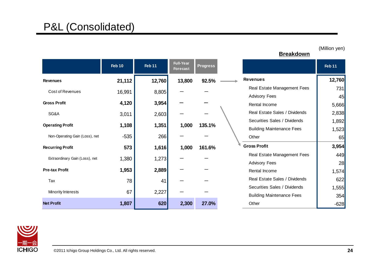|                                | <b>Feb 10</b> | Feb 11 | <b>Full-Year</b><br><b>Forecast</b> | <b>Progress</b> |                                  | Feb 11 |
|--------------------------------|---------------|--------|-------------------------------------|-----------------|----------------------------------|--------|
| <b>Revenues</b>                | 21,112        | 12,760 | 13,800                              | 92.5%           | <b>Revenues</b>                  | 12,760 |
| Cost of Revenues               | 16,991        | 8,805  |                                     |                 | Real Estate Management Fees      | 731    |
|                                |               |        |                                     |                 | <b>Advisory Fees</b>             | 45     |
| <b>Gross Profit</b>            | 4,120         | 3,954  |                                     |                 | Rental Income                    | 5,666  |
| SG&A                           | 3,011         | 2,603  |                                     |                 | Real Estate Sales / Dividends    | 2,838  |
|                                |               |        |                                     |                 | Securities Sales / Dividends     | 1,892  |
| <b>Operating Profit</b>        | 1,108         | 1,351  | 1,000                               | 135.1%          | <b>Building Maintenance Fees</b> | 1,523  |
| Non-Operating Gain (Loss), net | $-535$        | 266    |                                     |                 | Other                            | 65     |
| <b>Recurring Profit</b>        | 573           | 1,616  | 1,000                               | 161.6%          | <b>Gross Profit</b>              | 3,954  |
| Extraordinary Gain (Loss), net |               |        |                                     |                 | Real Estate Management Fees      | 449    |
|                                | 1,380         | 1,273  |                                     |                 | <b>Advisory Fees</b>             | 28     |
| <b>Pre-tax Profit</b>          | 1,953         | 2,889  |                                     |                 | Rental Income                    | 1,574  |
| Tax                            | 78            | 41     |                                     |                 | Real Estate Sales / Dividends    | 622    |
|                                |               |        |                                     |                 | Securities Sales / Dividends     | 1,555  |
| Minority Interests             | 67            | 2,227  |                                     |                 | <b>Building Maintenance Fees</b> | 354    |
| <b>Net Profit</b>              | 1,807         | 620    | 2,300                               | 27.0%           | Other                            | $-628$ |



**Breakdown**

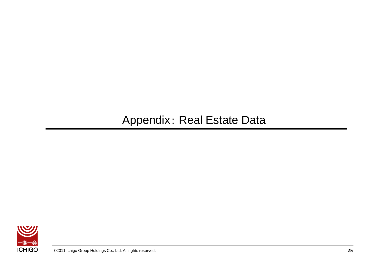## Appendix: Real Estate Data

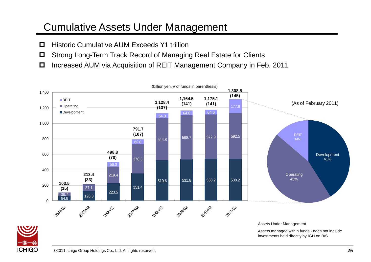### Cumulative Assets Under Management

- □ Historic Cumulative AUM Exceeds ¥1 trillion
- Strong Long-Term Track Record of Managing Real Estate for Clients
- Increased AUM via Acquisition of REIT Management Company in Feb. 2011



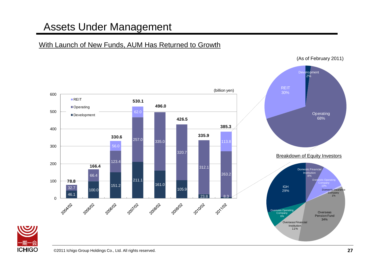## Assets Under Management

#### With Launch of New Funds, AUM Has Returned to Growth



(As of February 2011)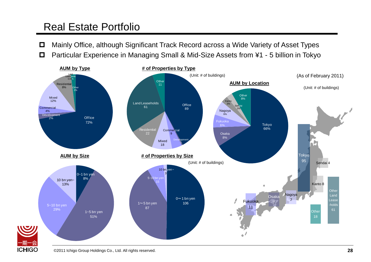## Real Estate Portfolio

- Mainly Office, although Significant Track Record across a Wide Variety of Asset Types
- Particular Experience in Managing Small & Mid-Size Assets from ¥1 5 billion in Tokyo



ICHIGC

©2011 Ichigo Group Holdings Co., Ltd. All rights reserved.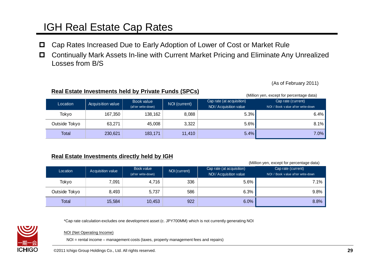## IGH Real Estate Cap Rates

- Cap Rates Increased Due to Early Adoption of Lower of Cost or Market Rule
- Continually Mark Assets In-line with Current Market Pricing and Eliminate Any Unrealized Losses from B/S

(As of February 2011)

#### **Real Estate Investments held by Private Funds (SPCs)**

(Million yen, except for percentage data)

| Location      | Acquisition value | Book value<br>(after write-down) | NOI (current) | Cap rate (at acquisition)<br>NOI / Acquisition value | Cap rate (current)<br>NOI / Book value after write-down |
|---------------|-------------------|----------------------------------|---------------|------------------------------------------------------|---------------------------------------------------------|
| Tokyo         | 167,350           | 138,162                          | 8,088         | 5.3%                                                 | 6.4%                                                    |
| Outside Tokyo | 63,271            | 45,008                           | 3,322         | $5.6\%$                                              | 8.1%                                                    |
| Total         | 230,621           | 183,171                          | 11,410        | 5.4%                                                 | 7.0%                                                    |

#### **Real Estate Investments directly held by IGH**

(Million yen, except for percentage data)

| Location      | <b>Acquisition value</b> | Book value<br>(af ter write-down) | NOI (current) | Cap rate (at acquisition)<br>NOI / Acquisition value | Cap rate (current)<br>NOI / Book value after write-down |
|---------------|--------------------------|-----------------------------------|---------------|------------------------------------------------------|---------------------------------------------------------|
| Tokyo         | 7,091                    | 4,716                             | 336           | $5.6\%$                                              | 7.1%                                                    |
| Outside Tokyo | 8,493                    | 5,737                             | 586           | 6.3%                                                 | 9.8%                                                    |
| <b>Total</b>  | 15,584                   | 10,453                            | 922           | 6.0%                                                 | 8.8%                                                    |

\*Cap rate calculation excludes one development asset (c. JPY700MM) which is not currently generating NOI



NOI (Net Operating Income)

NOI = rental income – management costs (taxes, property management fees and repairs)

©2011 Ichigo Group Holdings Co., Ltd. All rights reserved.